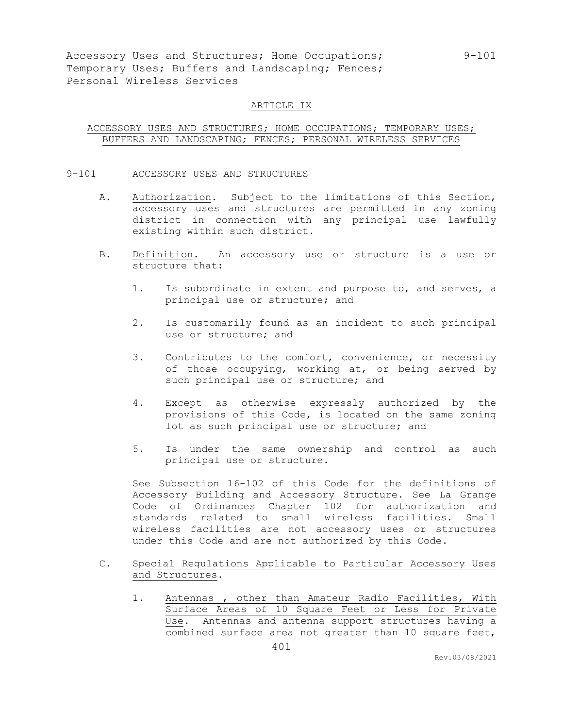## ARTICLE IX

# ACCESSORY USES AND STRUCTURES; HOME OCCUPATIONS; TEMPORARY USES; BUFFERS AND LANDSCAPING; FENCES; PERSONAL WIRELESS SERVICES

- 9-101 ACCESSORY USES AND STRUCTURES
	- A. Authorization. Subject to the limitations of this Section, accessory uses and structures are permitted in any zoning district in connection with any principal use lawfully existing within such district.
	- B. Definition. An accessory use or structure is a use or structure that:
		- 1. Is subordinate in extent and purpose to, and serves, a principal use or structure; and
		- 2. Is customarily found as an incident to such principal use or structure; and
		- 3. Contributes to the comfort, convenience, or necessity of those occupying, working at, or being served by such principal use or structure; and
		- 4. Except as otherwise expressly authorized by the provisions of this Code, is located on the same zoning lot as such principal use or structure; and
		- 5. Is under the same ownership and control as such principal use or structure.

See Subsection 16-102 of this Code for the definitions of Accessory Building and Accessory Structure. See La Grange Code of Ordinances Chapter 102 for authorization and standards related to small wireless facilities. Small wireless facilities are not accessory uses or structures under this Code and are not authorized by this Code.

- C. Special Regulations Applicable to Particular Accessory Uses and Structures.
	- 1. Antennas , other than Amateur Radio Facilities, With Surface Areas of 10 Square Feet or Less for Private Use. Antennas and antenna support structures having a combined surface area not greater than 10 square feet,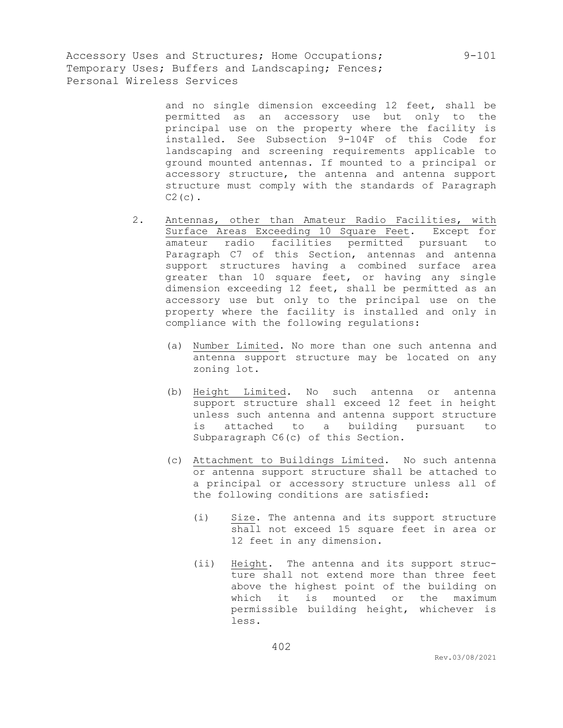> and no single dimension exceeding 12 feet, shall be permitted as an accessory use but only to the principal use on the property where the facility is installed. See Subsection 9-104F of this Code for landscaping and screening requirements applicable to ground mounted antennas. If mounted to a principal or accessory structure, the antenna and antenna support structure must comply with the standards of Paragraph  $C2(c)$ .

- 2. Antennas, other than Amateur Radio Facilities, with Surface Areas Exceeding 10 Square Feet. Except for amateur radio facilities permitted pursuant to Paragraph C7 of this Section, antennas and antenna support structures having a combined surface area greater than 10 square feet, or having any single dimension exceeding 12 feet, shall be permitted as an accessory use but only to the principal use on the property where the facility is installed and only in compliance with the following regulations:
	- (a) Number Limited. No more than one such antenna and antenna support structure may be located on any zoning lot.
	- (b) Height Limited. No such antenna or antenna support structure shall exceed 12 feet in height unless such antenna and antenna support structure is attached to a building pursuant to Subparagraph C6(c) of this Section.
	- (c) Attachment to Buildings Limited. No such antenna or antenna support structure shall be attached to a principal or accessory structure unless all of the following conditions are satisfied:
		- (i) Size. The antenna and its support structure shall not exceed 15 square feet in area or 12 feet in any dimension.
		- (ii) Height. The antenna and its support structure shall not extend more than three feet above the highest point of the building on which it is mounted or the maximum permissible building height, whichever is less.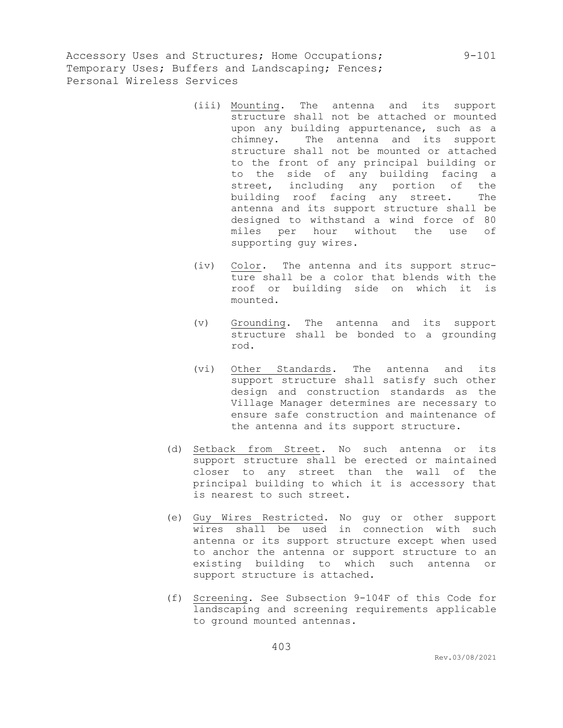- (iii) Mounting. The antenna and its support structure shall not be attached or mounted upon any building appurtenance, such as a chimney. The antenna and its support structure shall not be mounted or attached to the front of any principal building or to the side of any building facing a street, including any portion of the building roof facing any street. The antenna and its support structure shall be designed to withstand a wind force of 80 miles per hour without the use of supporting guy wires.
- (iv) Color. The antenna and its support structure shall be a color that blends with the roof or building side on which it is mounted.
- (v) Grounding. The antenna and its support structure shall be bonded to a grounding rod.
- (vi) Other Standards. The antenna and its support structure shall satisfy such other design and construction standards as the Village Manager determines are necessary to ensure safe construction and maintenance of the antenna and its support structure.
- (d) Setback from Street. No such antenna or its support structure shall be erected or maintained closer to any street than the wall of the principal building to which it is accessory that is nearest to such street.
- (e) Guy Wires Restricted. No guy or other support wires shall be used in connection with such antenna or its support structure except when used to anchor the antenna or support structure to an existing building to which such antenna or support structure is attached.
- (f) Screening. See Subsection 9-104F of this Code for landscaping and screening requirements applicable to ground mounted antennas.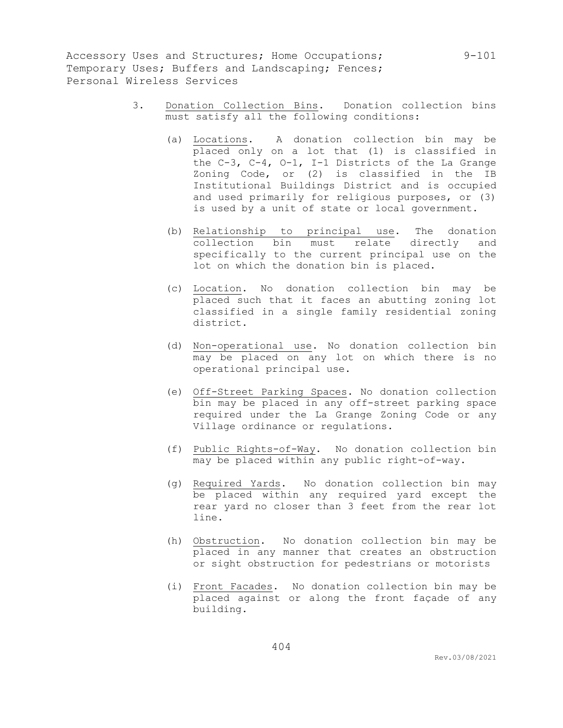- 3. Donation Collection Bins. Donation collection bins must satisfy all the following conditions:
	- (a) Locations. A donation collection bin may be placed only on a lot that (1) is classified in the C-3, C-4, O-1, I-1 Districts of the La Grange Zoning Code, or (2) is classified in the IB Institutional Buildings District and is occupied and used primarily for religious purposes, or (3) is used by a unit of state or local government.
	- (b) Relationship to principal use. The donation collection bin must relate directly and specifically to the current principal use on the lot on which the donation bin is placed.
	- (c) Location. No donation collection bin may be placed such that it faces an abutting zoning lot classified in a single family residential zoning district.
	- (d) Non-operational use. No donation collection bin may be placed on any lot on which there is no operational principal use.
	- (e) Off-Street Parking Spaces. No donation collection bin may be placed in any off-street parking space required under the La Grange Zoning Code or any Village ordinance or regulations.
	- (f) Public Rights-of-Way. No donation collection bin may be placed within any public right-of-way.
	- (g) Required Yards. No donation collection bin may be placed within any required yard except the rear yard no closer than 3 feet from the rear lot line.
	- (h) Obstruction. No donation collection bin may be placed in any manner that creates an obstruction or sight obstruction for pedestrians or motorists
	- (i) Front Facades. No donation collection bin may be placed against or along the front façade of any building.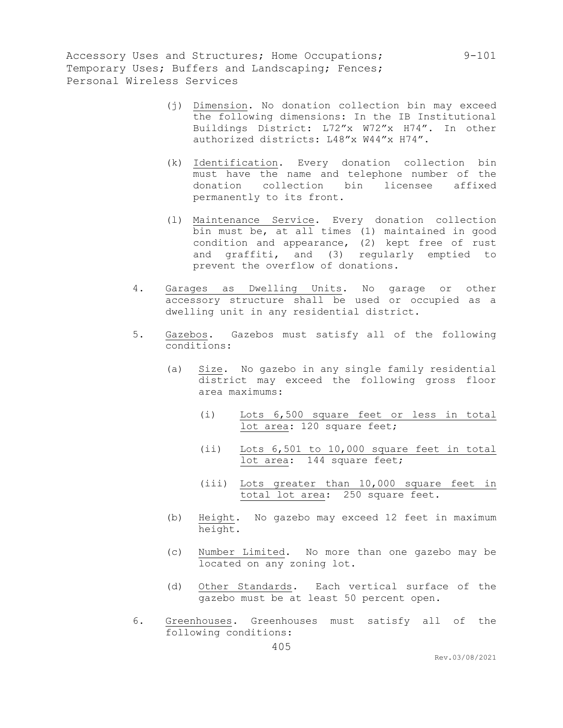- (j) Dimension. No donation collection bin may exceed the following dimensions: In the IB Institutional Buildings District: L72"x W72"x H74". In other authorized districts: L48"x W44"x H74".
- (k) Identification. Every donation collection bin must have the name and telephone number of the donation collection bin licensee affixed permanently to its front.
- (l) Maintenance Service. Every donation collection bin must be, at all times (1) maintained in good condition and appearance, (2) kept free of rust and graffiti, and (3) regularly emptied to prevent the overflow of donations.
- 4. Garages as Dwelling Units. No garage or other accessory structure shall be used or occupied as a dwelling unit in any residential district.
- 5. Gazebos. Gazebos must satisfy all of the following conditions:
	- (a) Size. No gazebo in any single family residential district may exceed the following gross floor area maximums:
		- (i) Lots 6,500 square feet or less in total lot area: 120 square feet;
		- (ii) Lots 6,501 to 10,000 square feet in total lot area: 144 square feet;
		- (iii) Lots greater than 10,000 square feet in total lot area: 250 square feet.
	- (b) Height. No gazebo may exceed 12 feet in maximum height.
	- (c) Number Limited. No more than one gazebo may be located on any zoning lot.
	- (d) Other Standards. Each vertical surface of the gazebo must be at least 50 percent open.
- 6. Greenhouses. Greenhouses must satisfy all of the following conditions: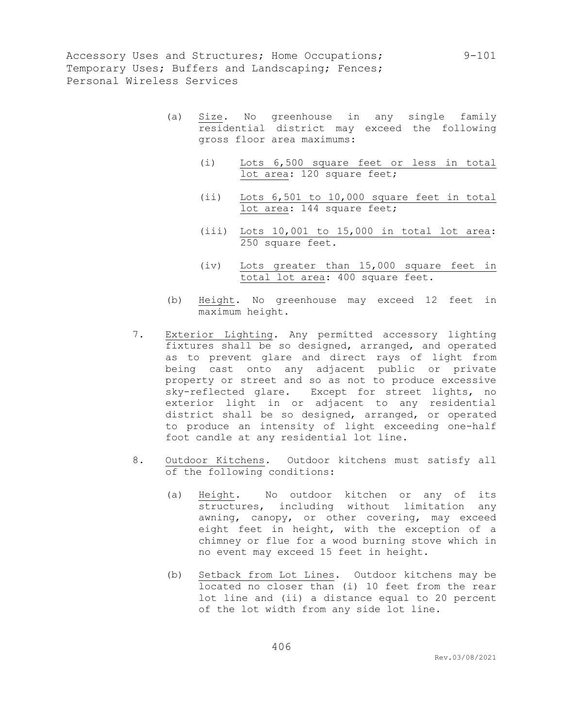- (a) Size. No greenhouse in any single family residential district may exceed the following gross floor area maximums:
	- (i) Lots 6,500 square feet or less in total lot area: 120 square feet;
	- (ii) Lots 6,501 to 10,000 square feet in total lot area: 144 square feet;
	- (iii) Lots 10,001 to 15,000 in total lot area: 250 square feet.
	- (iv) Lots greater than 15,000 square feet in total lot area: 400 square feet.
- (b) Height. No greenhouse may exceed 12 feet in maximum height.
- 7. Exterior Lighting. Any permitted accessory lighting fixtures shall be so designed, arranged, and operated as to prevent glare and direct rays of light from being cast onto any adjacent public or private property or street and so as not to produce excessive sky-reflected glare. Except for street lights, no exterior light in or adjacent to any residential district shall be so designed, arranged, or operated to produce an intensity of light exceeding one-half foot candle at any residential lot line.
- 8. Outdoor Kitchens. Outdoor kitchens must satisfy all of the following conditions:
	- (a) Height. No outdoor kitchen or any of its structures, including without limitation any awning, canopy, or other covering, may exceed eight feet in height, with the exception of a chimney or flue for a wood burning stove which in no event may exceed 15 feet in height.
	- (b) Setback from Lot Lines. Outdoor kitchens may be located no closer than (i) 10 feet from the rear lot line and (ii) a distance equal to 20 percent of the lot width from any side lot line.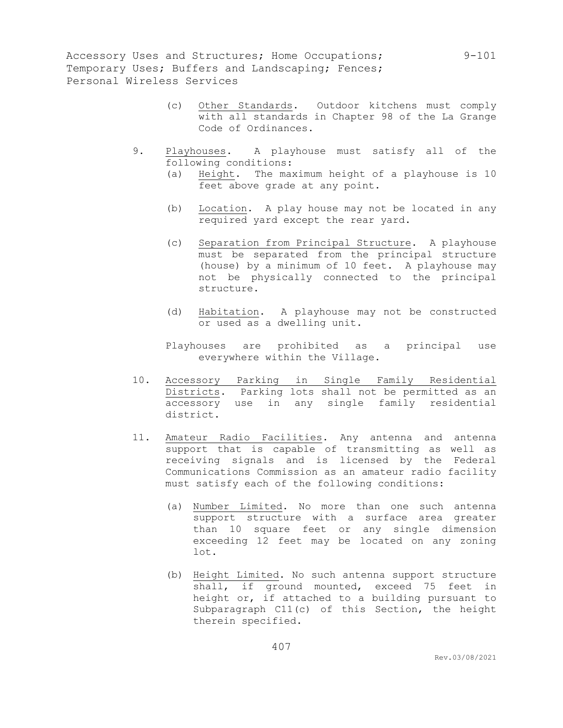- (c) Other Standards. Outdoor kitchens must comply with all standards in Chapter 98 of the La Grange Code of Ordinances.
- 9. Playhouses. A playhouse must satisfy all of the following conditions:
	- (a) Height. The maximum height of a playhouse is 10 feet above grade at any point.
	- (b) Location. A play house may not be located in any required yard except the rear yard.
	- (c) Separation from Principal Structure. A playhouse must be separated from the principal structure (house) by a minimum of 10 feet. A playhouse may not be physically connected to the principal structure.
	- (d) Habitation. A playhouse may not be constructed or used as a dwelling unit.
	- Playhouses are prohibited as a principal use everywhere within the Village.
- 10. Accessory Parking in Single Family Residential Districts. Parking lots shall not be permitted as an accessory use in any single family residential district.
- 11. Amateur Radio Facilities. Any antenna and antenna support that is capable of transmitting as well as receiving signals and is licensed by the Federal Communications Commission as an amateur radio facility must satisfy each of the following conditions:
	- (a) Number Limited. No more than one such antenna support structure with a surface area greater than 10 square feet or any single dimension exceeding 12 feet may be located on any zoning lot.
	- (b) Height Limited. No such antenna support structure shall, if ground mounted, exceed 75 feet in height or, if attached to a building pursuant to Subparagraph C11(c) of this Section, the height therein specified.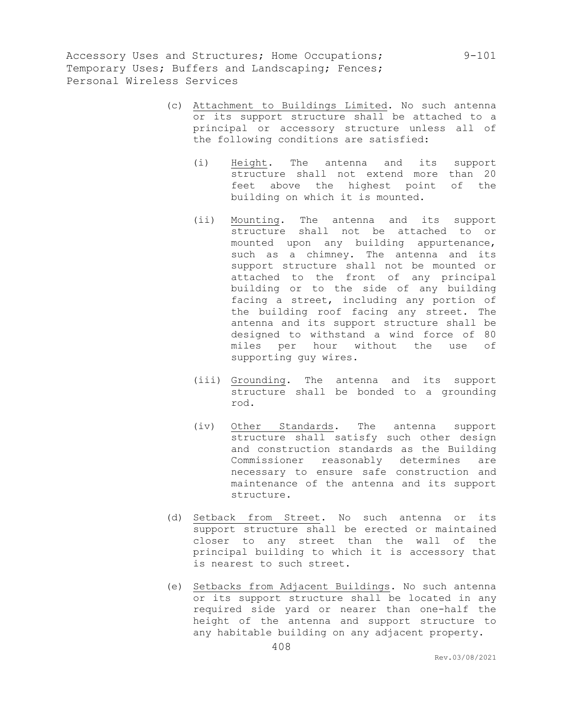- (c) Attachment to Buildings Limited. No such antenna or its support structure shall be attached to a principal or accessory structure unless all of the following conditions are satisfied:
	- (i) Height. The antenna and its support structure shall not extend more than 20 feet above the highest point of the building on which it is mounted.
	- (ii) Mounting. The antenna and its support structure shall not be attached to or mounted upon any building appurtenance, such as a chimney. The antenna and its support structure shall not be mounted or attached to the front of any principal building or to the side of any building facing a street, including any portion of the building roof facing any street. The antenna and its support structure shall be designed to withstand a wind force of 80 miles per hour without the use of supporting guy wires.
	- (iii) Grounding. The antenna and its support structure shall be bonded to a grounding rod.
	- (iv) Other Standards. The antenna support structure shall satisfy such other design and construction standards as the Building Commissioner reasonably determines are necessary to ensure safe construction and maintenance of the antenna and its support structure.
- (d) Setback from Street. No such antenna or its support structure shall be erected or maintained closer to any street than the wall of the principal building to which it is accessory that is nearest to such street.
- (e) Setbacks from Adjacent Buildings. No such antenna or its support structure shall be located in any required side yard or nearer than one-half the height of the antenna and support structure to any habitable building on any adjacent property.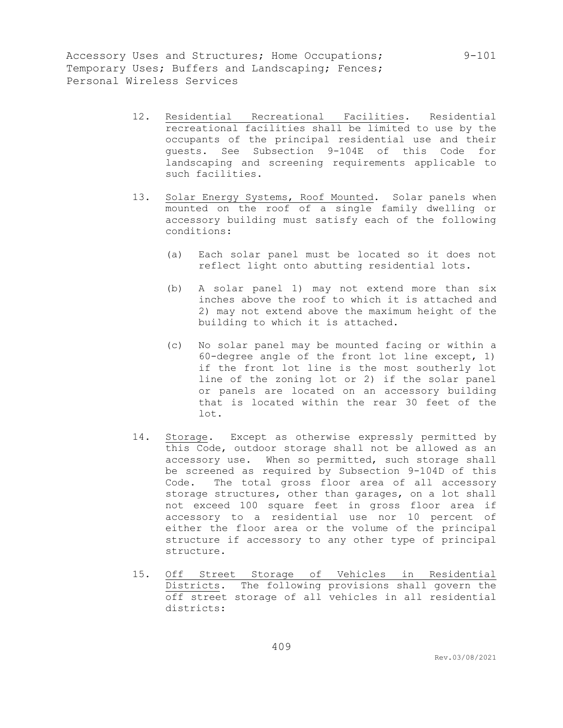- 12. Residential Recreational Facilities. Residential recreational facilities shall be limited to use by the occupants of the principal residential use and their guests. See Subsection 9-104E of this Code for landscaping and screening requirements applicable to such facilities.
- 13. Solar Energy Systems, Roof Mounted. Solar panels when mounted on the roof of a single family dwelling or accessory building must satisfy each of the following conditions:
	- (a) Each solar panel must be located so it does not reflect light onto abutting residential lots.
	- (b) A solar panel 1) may not extend more than six inches above the roof to which it is attached and 2) may not extend above the maximum height of the building to which it is attached.
	- (c) No solar panel may be mounted facing or within a 60-degree angle of the front lot line except, 1) if the front lot line is the most southerly lot line of the zoning lot or 2) if the solar panel or panels are located on an accessory building that is located within the rear 30 feet of the lot.
- 14. Storage. Except as otherwise expressly permitted by this Code, outdoor storage shall not be allowed as an accessory use. When so permitted, such storage shall be screened as required by Subsection 9-104D of this Code. The total gross floor area of all accessory storage structures, other than garages, on a lot shall not exceed 100 square feet in gross floor area if accessory to a residential use nor 10 percent of either the floor area or the volume of the principal structure if accessory to any other type of principal structure.
- 15. Off Street Storage of Vehicles in Residential Districts. The following provisions shall govern the off street storage of all vehicles in all residential districts: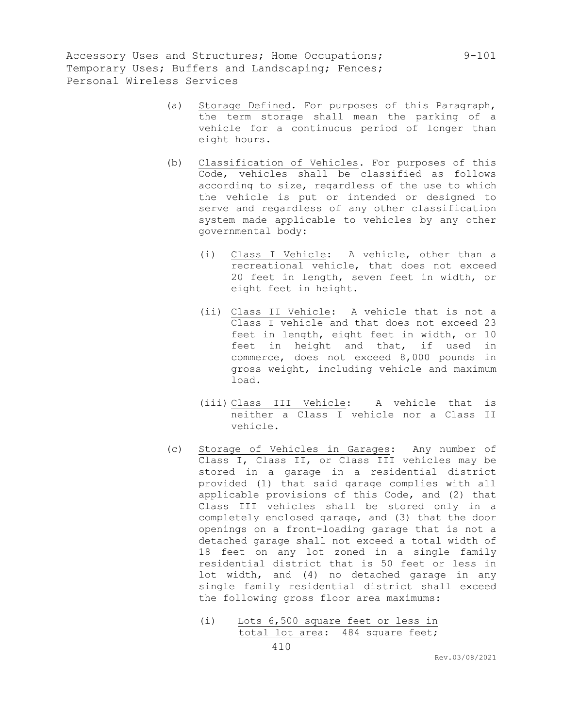- (a) Storage Defined. For purposes of this Paragraph, the term storage shall mean the parking of a vehicle for a continuous period of longer than eight hours.
- (b) Classification of Vehicles. For purposes of this Code, vehicles shall be classified as follows according to size, regardless of the use to which the vehicle is put or intended or designed to serve and regardless of any other classification system made applicable to vehicles by any other governmental body:
	- (i) Class I Vehicle: A vehicle, other than a recreational vehicle, that does not exceed 20 feet in length, seven feet in width, or eight feet in height.
	- (ii) Class II Vehicle: A vehicle that is not a Class I vehicle and that does not exceed 23 feet in length, eight feet in width, or 10 feet in height and that, if used in commerce, does not exceed 8,000 pounds in gross weight, including vehicle and maximum load.
	- (iii) Class III Vehicle: A vehicle that is neither a Class I vehicle nor a Class II vehicle.
- (c) Storage of Vehicles in Garages: Any number of Class I, Class II, or Class III vehicles may be stored in a garage in a residential district provided (1) that said garage complies with all applicable provisions of this Code, and (2) that Class III vehicles shall be stored only in a completely enclosed garage, and (3) that the door openings on a front-loading garage that is not a detached garage shall not exceed a total width of 18 feet on any lot zoned in a single family residential district that is 50 feet or less in lot width, and (4) no detached garage in any single family residential district shall exceed the following gross floor area maximums:
	- (i) Lots 6,500 square feet or less in total lot area: 484 square feet;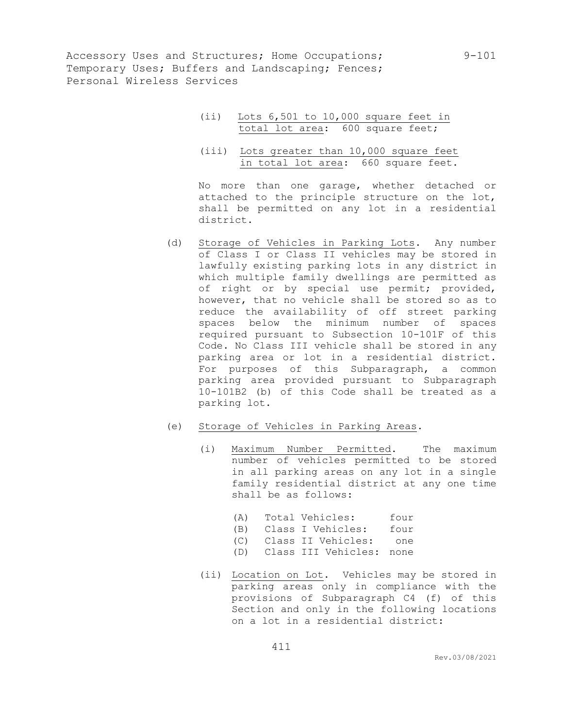- (ii) Lots 6,501 to 10,000 square feet in total lot area: 600 square feet;
- (iii) Lots greater than 10,000 square feet in total lot area: 660 square feet.

No more than one garage, whether detached or attached to the principle structure on the lot, shall be permitted on any lot in a residential district.

- (d) Storage of Vehicles in Parking Lots. Any number of Class I or Class II vehicles may be stored in lawfully existing parking lots in any district in which multiple family dwellings are permitted as of right or by special use permit; provided, however, that no vehicle shall be stored so as to reduce the availability of off street parking spaces below the minimum number of spaces required pursuant to Subsection 10-101F of this Code. No Class III vehicle shall be stored in any parking area or lot in a residential district. For purposes of this Subparagraph, a common parking area provided pursuant to Subparagraph 10-101B2 (b) of this Code shall be treated as a parking lot.
- (e) Storage of Vehicles in Parking Areas.
	- (i) Maximum Number Permitted. The maximum number of vehicles permitted to be stored in all parking areas on any lot in a single family residential district at any one time shall be as follows:
		- (A) Total Vehicles: four
		- (B) Class I Vehicles: four
		- (C) Class II Vehicles: one
		- (D) Class III Vehicles: none
	- (ii) Location on Lot. Vehicles may be stored in parking areas only in compliance with the provisions of Subparagraph C4 (f) of this Section and only in the following locations on a lot in a residential district: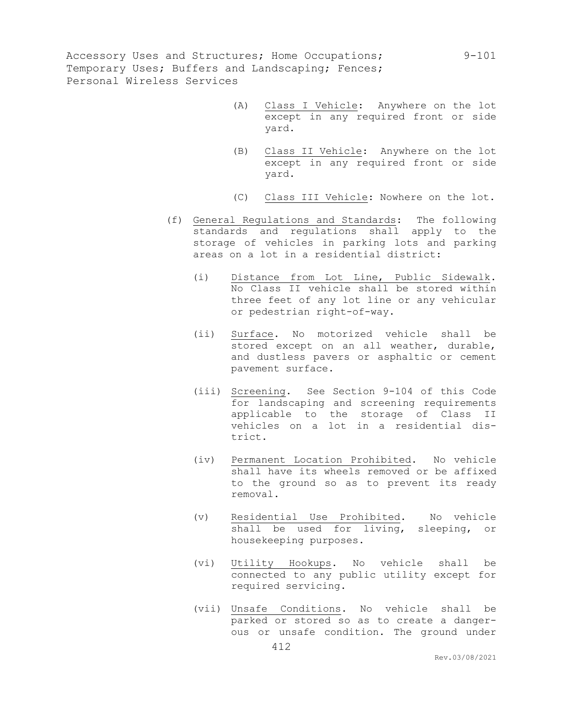- (A) Class I Vehicle: Anywhere on the lot except in any required front or side yard.
- (B) Class II Vehicle: Anywhere on the lot except in any required front or side yard.
- (C) Class III Vehicle: Nowhere on the lot.
- (f) General Regulations and Standards: The following standards and regulations shall apply to the storage of vehicles in parking lots and parking areas on a lot in a residential district:
	- (i) Distance from Lot Line, Public Sidewalk. No Class II vehicle shall be stored within three feet of any lot line or any vehicular or pedestrian right-of-way.
	- (ii) Surface. No motorized vehicle shall be stored except on an all weather, durable, and dustless pavers or asphaltic or cement pavement surface.
	- (iii) Screening. See Section 9-104 of this Code for landscaping and screening requirements applicable to the storage of Class II vehicles on a lot in a residential district.
	- (iv) Permanent Location Prohibited. No vehicle shall have its wheels removed or be affixed to the ground so as to prevent its ready removal.
	- (v) Residential Use Prohibited. No vehicle shall be used for living, sleeping, or housekeeping purposes.
	- (vi) Utility Hookups. No vehicle shall be connected to any public utility except for required servicing.
	- (vii) Unsafe Conditions. No vehicle shall be parked or stored so as to create a dangerous or unsafe condition. The ground under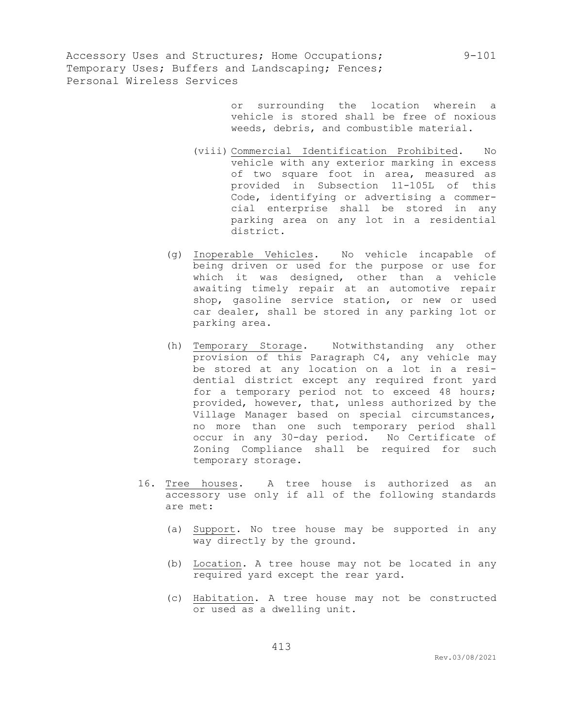> or surrounding the location wherein a vehicle is stored shall be free of noxious weeds, debris, and combustible material.

- (viii) Commercial Identification Prohibited. No vehicle with any exterior marking in excess of two square foot in area, measured as provided in Subsection 11-105L of this Code, identifying or advertising a commercial enterprise shall be stored in any parking area on any lot in a residential district.
- (g) Inoperable Vehicles. No vehicle incapable of being driven or used for the purpose or use for which it was designed, other than a vehicle awaiting timely repair at an automotive repair shop, gasoline service station, or new or used car dealer, shall be stored in any parking lot or parking area.
- (h) Temporary Storage. Notwithstanding any other provision of this Paragraph C4, any vehicle may be stored at any location on a lot in a residential district except any required front yard for a temporary period not to exceed 48 hours; provided, however, that, unless authorized by the Village Manager based on special circumstances, no more than one such temporary period shall occur in any 30-day period. No Certificate of Zoning Compliance shall be required for such temporary storage.
- 16. Tree houses. A tree house is authorized as an accessory use only if all of the following standards are met:
	- (a) Support. No tree house may be supported in any way directly by the ground.
	- (b) Location. A tree house may not be located in any required yard except the rear yard.
	- (c) Habitation. A tree house may not be constructed or used as a dwelling unit.

Rev.03/08/2021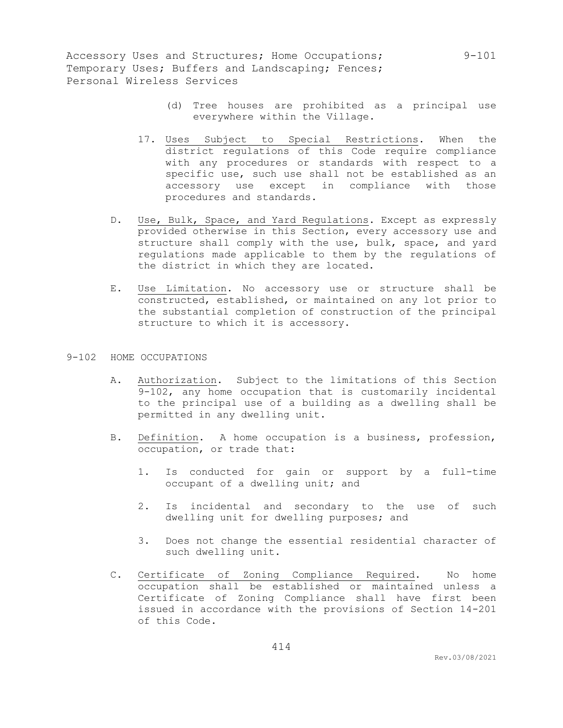- (d) Tree houses are prohibited as a principal use everywhere within the Village.
- 17. Uses Subject to Special Restrictions. When the district regulations of this Code require compliance with any procedures or standards with respect to a specific use, such use shall not be established as an accessory use except in compliance with those procedures and standards.
- D. Use, Bulk, Space, and Yard Regulations. Except as expressly provided otherwise in this Section, every accessory use and structure shall comply with the use, bulk, space, and yard regulations made applicable to them by the regulations of the district in which they are located.
- E. Use Limitation. No accessory use or structure shall be constructed, established, or maintained on any lot prior to the substantial completion of construction of the principal structure to which it is accessory.

### 9-102 HOME OCCUPATIONS

- A. Authorization. Subject to the limitations of this Section 9-102, any home occupation that is customarily incidental to the principal use of a building as a dwelling shall be permitted in any dwelling unit.
- B. Definition. A home occupation is a business, profession, occupation, or trade that:
	- 1. Is conducted for gain or support by a full-time occupant of a dwelling unit; and
	- 2. Is incidental and secondary to the use of such dwelling unit for dwelling purposes; and
	- 3. Does not change the essential residential character of such dwelling unit.
- C. Certificate of Zoning Compliance Required. No home occupation shall be established or maintained unless a Certificate of Zoning Compliance shall have first been issued in accordance with the provisions of Section 14-201 of this Code.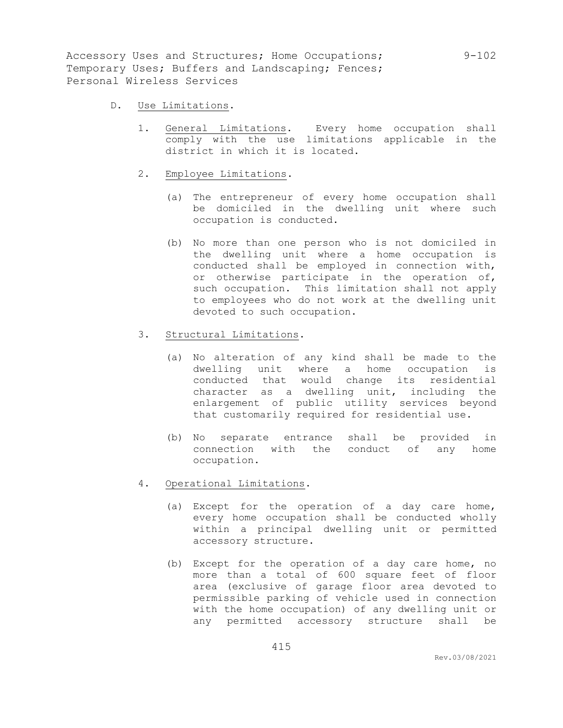- D. Use Limitations.
	- 1. General Limitations. Every home occupation shall comply with the use limitations applicable in the district in which it is located.
	- 2. Employee Limitations.
		- (a) The entrepreneur of every home occupation shall be domiciled in the dwelling unit where such occupation is conducted.
		- (b) No more than one person who is not domiciled in the dwelling unit where a home occupation is conducted shall be employed in connection with, or otherwise participate in the operation of, such occupation. This limitation shall not apply to employees who do not work at the dwelling unit devoted to such occupation.
	- 3. Structural Limitations.
		- (a) No alteration of any kind shall be made to the dwelling unit where a home occupation is conducted that would change its residential character as a dwelling unit, including the enlargement of public utility services beyond that customarily required for residential use.
		- (b) No separate entrance shall be provided in connection with the conduct of any home occupation.
	- 4. Operational Limitations.
		- (a) Except for the operation of a day care home, every home occupation shall be conducted wholly within a principal dwelling unit or permitted accessory structure.
		- (b) Except for the operation of a day care home, no more than a total of 600 square feet of floor area (exclusive of garage floor area devoted to permissible parking of vehicle used in connection with the home occupation) of any dwelling unit or any permitted accessory structure shall be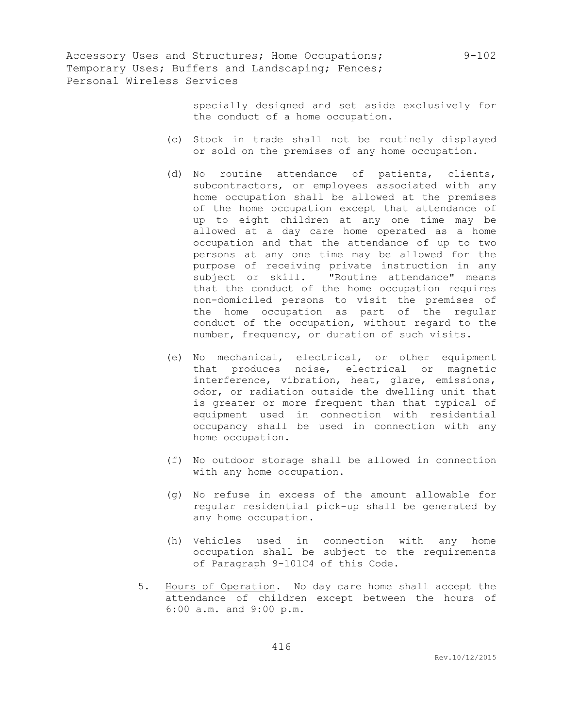> specially designed and set aside exclusively for the conduct of a home occupation.

- (c) Stock in trade shall not be routinely displayed or sold on the premises of any home occupation.
- (d) No routine attendance of patients, clients, subcontractors, or employees associated with any home occupation shall be allowed at the premises of the home occupation except that attendance of up to eight children at any one time may be allowed at a day care home operated as a home occupation and that the attendance of up to two persons at any one time may be allowed for the purpose of receiving private instruction in any subject or skill. "Routine attendance" means that the conduct of the home occupation requires non-domiciled persons to visit the premises of the home occupation as part of the regular conduct of the occupation, without regard to the number, frequency, or duration of such visits.
- (e) No mechanical, electrical, or other equipment that produces noise, electrical or magnetic interference, vibration, heat, glare, emissions, odor, or radiation outside the dwelling unit that is greater or more frequent than that typical of equipment used in connection with residential occupancy shall be used in connection with any home occupation.
- (f) No outdoor storage shall be allowed in connection with any home occupation.
- (g) No refuse in excess of the amount allowable for regular residential pick-up shall be generated by any home occupation.
- (h) Vehicles used in connection with any home occupation shall be subject to the requirements of Paragraph 9-101C4 of this Code.
- 5. Hours of Operation. No day care home shall accept the attendance of children except between the hours of 6:00 a.m. and 9:00 p.m.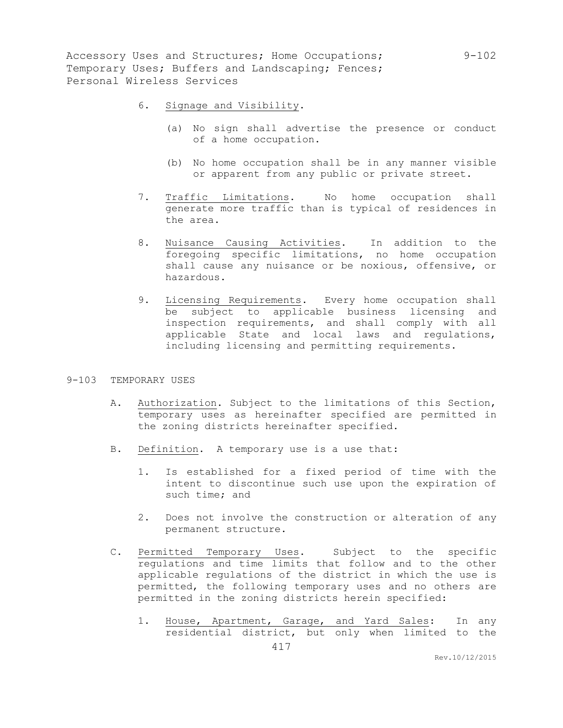- 6. Signage and Visibility.
	- (a) No sign shall advertise the presence or conduct of a home occupation.
	- (b) No home occupation shall be in any manner visible or apparent from any public or private street.
- 7. Traffic Limitations. No home occupation shall generate more traffic than is typical of residences in the area.
- 8. Nuisance Causing Activities. In addition to the foregoing specific limitations, no home occupation shall cause any nuisance or be noxious, offensive, or hazardous.
- 9. Licensing Requirements. Every home occupation shall be subject to applicable business licensing and inspection requirements, and shall comply with all applicable State and local laws and regulations, including licensing and permitting requirements.

#### 9-103 TEMPORARY USES

- A. Authorization. Subject to the limitations of this Section, temporary uses as hereinafter specified are permitted in the zoning districts hereinafter specified.
- B. Definition. A temporary use is a use that:
	- 1. Is established for a fixed period of time with the intent to discontinue such use upon the expiration of such time; and
	- 2. Does not involve the construction or alteration of any permanent structure.
- C. Permitted Temporary Uses. Subject to the specific regulations and time limits that follow and to the other applicable regulations of the district in which the use is permitted, the following temporary uses and no others are permitted in the zoning districts herein specified:
	- 1. House, Apartment, Garage, and Yard Sales: In any residential district, but only when limited to the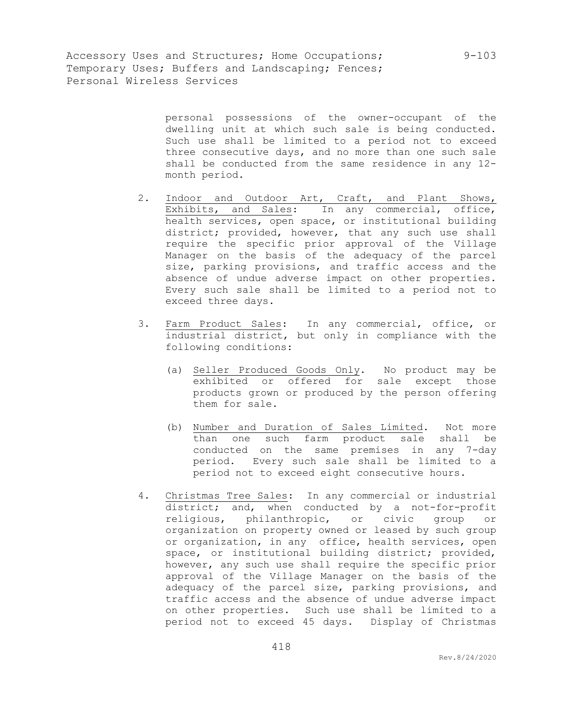> personal possessions of the owner-occupant of the dwelling unit at which such sale is being conducted. Such use shall be limited to a period not to exceed three consecutive days, and no more than one such sale shall be conducted from the same residence in any 12 month period.

- 2. Indoor and Outdoor Art, Craft, and Plant Shows, Exhibits, and Sales: In any commercial, office, health services, open space, or institutional building district; provided, however, that any such use shall require the specific prior approval of the Village Manager on the basis of the adequacy of the parcel size, parking provisions, and traffic access and the absence of undue adverse impact on other properties. Every such sale shall be limited to a period not to exceed three days.
- 3. Farm Product Sales: In any commercial, office, or industrial district, but only in compliance with the following conditions:
	- (a) Seller Produced Goods Only. No product may be exhibited or offered for sale except those products grown or produced by the person offering them for sale.
	- (b) Number and Duration of Sales Limited. Not more than one such farm product sale shall be conducted on the same premises in any 7-day period. Every such sale shall be limited to a period not to exceed eight consecutive hours.
- 4. Christmas Tree Sales: In any commercial or industrial district; and, when conducted by a not-for-profit religious, philanthropic, or civic group or organization on property owned or leased by such group or organization, in any office, health services, open space, or institutional building district; provided, however, any such use shall require the specific prior approval of the Village Manager on the basis of the adequacy of the parcel size, parking provisions, and traffic access and the absence of undue adverse impact on other properties. Such use shall be limited to a period not to exceed 45 days. Display of Christmas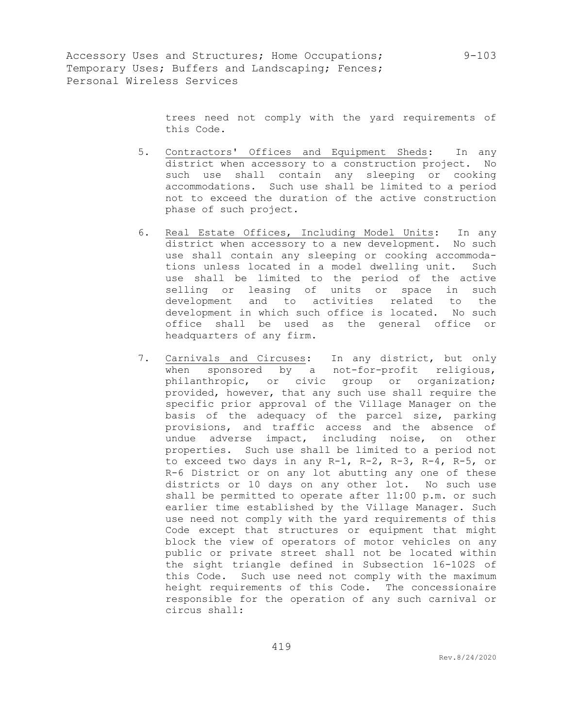trees need not comply with the yard requirements of this Code.

- 5. Contractors' Offices and Equipment Sheds: In any district when accessory to a construction project. No such use shall contain any sleeping or cooking accommodations. Such use shall be limited to a period not to exceed the duration of the active construction phase of such project.
- 6. Real Estate Offices, Including Model Units: In any district when accessory to a new development. No such use shall contain any sleeping or cooking accommodations unless located in a model dwelling unit. Such use shall be limited to the period of the active selling or leasing of units or space in such development and to activities related to the development in which such office is located. No such office shall be used as the general office or headquarters of any firm.
- 7. Carnivals and Circuses: In any district, but only when sponsored by a not-for-profit religious, philanthropic, or civic group or organization; provided, however, that any such use shall require the specific prior approval of the Village Manager on the basis of the adequacy of the parcel size, parking provisions, and traffic access and the absence of undue adverse impact, including noise, on other properties. Such use shall be limited to a period not to exceed two days in any R-1, R-2, R-3, R-4, R-5, or R-6 District or on any lot abutting any one of these districts or 10 days on any other lot. No such use shall be permitted to operate after 11:00 p.m. or such earlier time established by the Village Manager. Such use need not comply with the yard requirements of this Code except that structures or equipment that might block the view of operators of motor vehicles on any public or private street shall not be located within the sight triangle defined in Subsection 16-102S of this Code. Such use need not comply with the maximum height requirements of this Code. The concessionaire responsible for the operation of any such carnival or circus shall: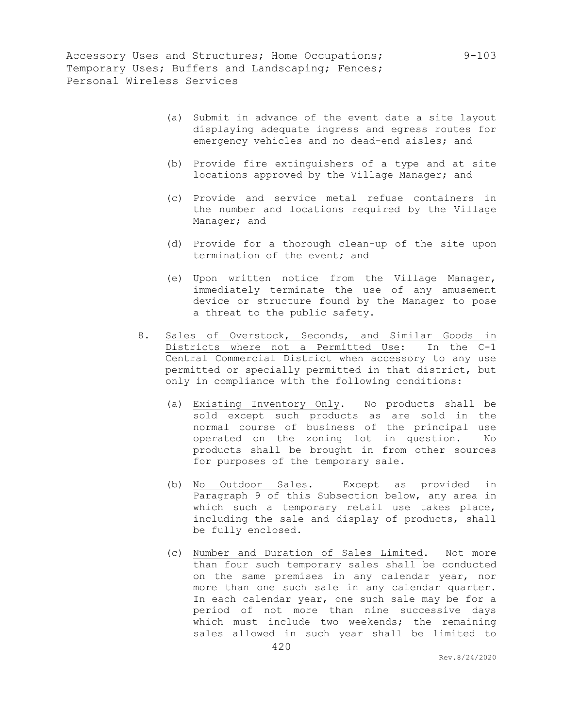- (a) Submit in advance of the event date a site layout displaying adequate ingress and egress routes for emergency vehicles and no dead-end aisles; and
- (b) Provide fire extinguishers of a type and at site locations approved by the Village Manager; and
- (c) Provide and service metal refuse containers in the number and locations required by the Village Manager; and
- (d) Provide for a thorough clean-up of the site upon termination of the event; and
- (e) Upon written notice from the Village Manager, immediately terminate the use of any amusement device or structure found by the Manager to pose a threat to the public safety.
- 8. Sales of Overstock, Seconds, and Similar Goods in Districts where not a Permitted Use: In the C-1 Central Commercial District when accessory to any use permitted or specially permitted in that district, but only in compliance with the following conditions:
	- (a) Existing Inventory Only. No products shall be sold except such products as are sold in the normal course of business of the principal use operated on the zoning lot in question. No products shall be brought in from other sources for purposes of the temporary sale.
	- (b) No Outdoor Sales. Except as provided in Paragraph 9 of this Subsection below, any area in which such a temporary retail use takes place, including the sale and display of products, shall be fully enclosed.
	- (c) Number and Duration of Sales Limited. Not more than four such temporary sales shall be conducted on the same premises in any calendar year, nor more than one such sale in any calendar quarter. In each calendar year, one such sale may be for a period of not more than nine successive days which must include two weekends; the remaining sales allowed in such year shall be limited to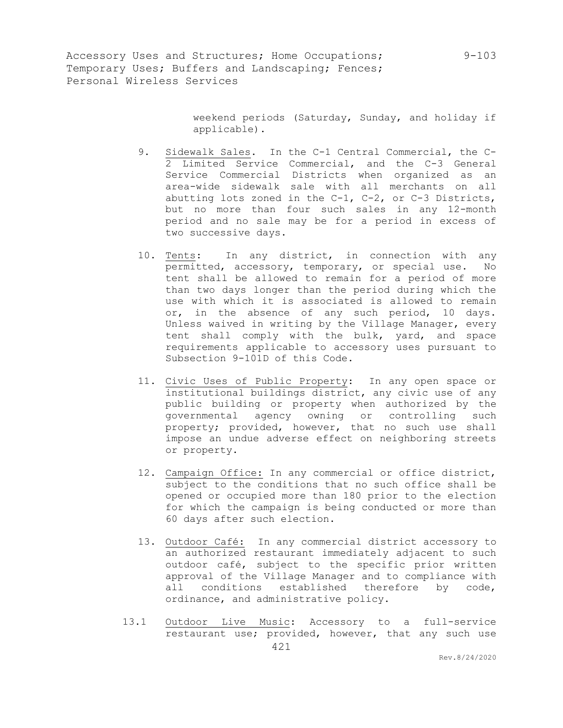> weekend periods (Saturday, Sunday, and holiday if applicable).

- 9. Sidewalk Sales. In the C-1 Central Commercial, the C-2 Limited Service Commercial, and the C-3 General Service Commercial Districts when organized as an area-wide sidewalk sale with all merchants on all abutting lots zoned in the C-1, C-2, or C-3 Districts, but no more than four such sales in any 12-month period and no sale may be for a period in excess of two successive days.
- 10. Tents: In any district, in connection with any permitted, accessory, temporary, or special use. No tent shall be allowed to remain for a period of more than two days longer than the period during which the use with which it is associated is allowed to remain or, in the absence of any such period, 10 days. Unless waived in writing by the Village Manager, every tent shall comply with the bulk, yard, and space requirements applicable to accessory uses pursuant to Subsection 9-101D of this Code.
- 11. Civic Uses of Public Property: In any open space or institutional buildings district, any civic use of any public building or property when authorized by the governmental agency owning or controlling such property; provided, however, that no such use shall impose an undue adverse effect on neighboring streets or property.
- 12. Campaign Office: In any commercial or office district, subject to the conditions that no such office shall be opened or occupied more than 180 prior to the election for which the campaign is being conducted or more than 60 days after such election.
- 13. Outdoor Café: In any commercial district accessory to an authorized restaurant immediately adjacent to such outdoor café, subject to the specific prior written approval of the Village Manager and to compliance with all conditions established therefore by code, ordinance, and administrative policy.
- 13.1 Outdoor Live Music: Accessory to a full-service restaurant use; provided, however, that any such use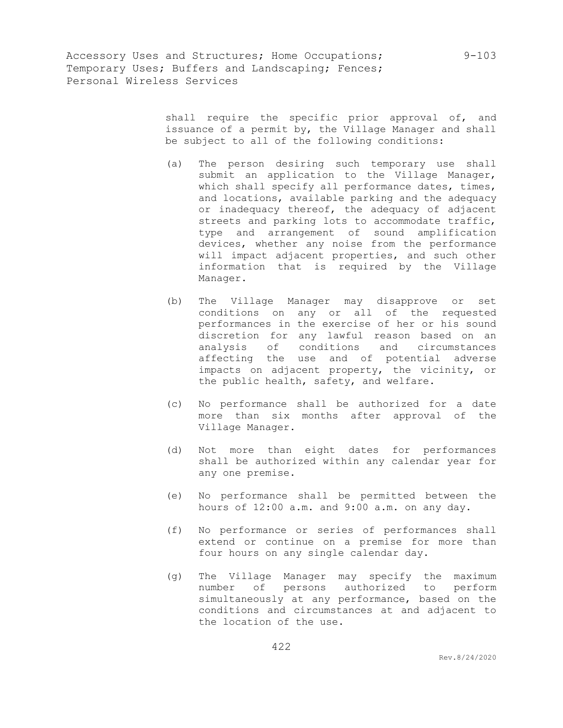shall require the specific prior approval of, and issuance of a permit by, the Village Manager and shall be subject to all of the following conditions:

- (a) The person desiring such temporary use shall submit an application to the Village Manager, which shall specify all performance dates, times, and locations, available parking and the adequacy or inadequacy thereof, the adequacy of adjacent streets and parking lots to accommodate traffic, type and arrangement of sound amplification devices, whether any noise from the performance will impact adjacent properties, and such other information that is required by the Village Manager.
- (b) The Village Manager may disapprove or set conditions on any or all of the requested performances in the exercise of her or his sound discretion for any lawful reason based on an analysis of conditions and circumstances affecting the use and of potential adverse impacts on adjacent property, the vicinity, or the public health, safety, and welfare.
- (c) No performance shall be authorized for a date more than six months after approval of the Village Manager.
- (d) Not more than eight dates for performances shall be authorized within any calendar year for any one premise.
- (e) No performance shall be permitted between the hours of 12:00 a.m. and 9:00 a.m. on any day.
- (f) No performance or series of performances shall extend or continue on a premise for more than four hours on any single calendar day.
- (g) The Village Manager may specify the maximum number of persons authorized to perform simultaneously at any performance, based on the conditions and circumstances at and adjacent to the location of the use.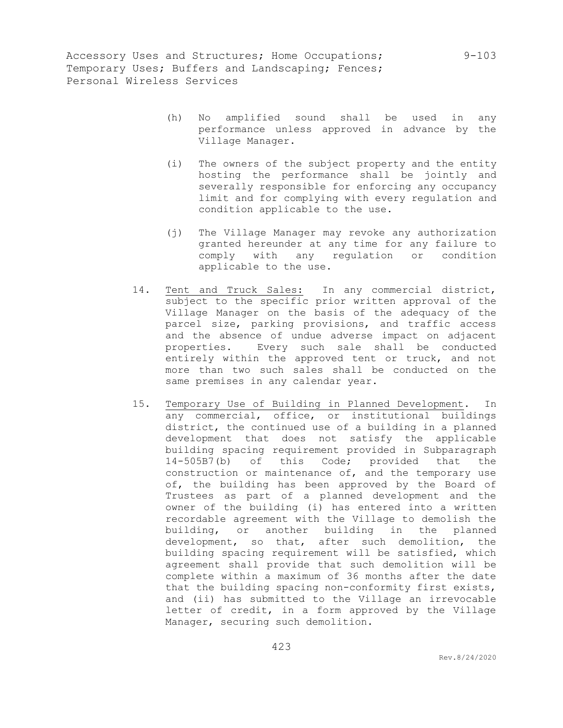- (h) No amplified sound shall be used in any performance unless approved in advance by the Village Manager.
- (i) The owners of the subject property and the entity hosting the performance shall be jointly and severally responsible for enforcing any occupancy limit and for complying with every regulation and condition applicable to the use.
- (j) The Village Manager may revoke any authorization granted hereunder at any time for any failure to comply with any regulation or condition applicable to the use.
- 14. Tent and Truck Sales: In any commercial district, subject to the specific prior written approval of the Village Manager on the basis of the adequacy of the parcel size, parking provisions, and traffic access and the absence of undue adverse impact on adjacent properties. Every such sale shall be conducted entirely within the approved tent or truck, and not more than two such sales shall be conducted on the same premises in any calendar year.
- 15. Temporary Use of Building in Planned Development. In any commercial, office, or institutional buildings district, the continued use of a building in a planned development that does not satisfy the applicable building spacing requirement provided in Subparagraph 14-505B7(b) of this Code; provided that the construction or maintenance of, and the temporary use of, the building has been approved by the Board of Trustees as part of a planned development and the owner of the building (i) has entered into a written recordable agreement with the Village to demolish the building, or another building in the planned development, so that, after such demolition, the building spacing requirement will be satisfied, which agreement shall provide that such demolition will be complete within a maximum of 36 months after the date that the building spacing non-conformity first exists, and (ii) has submitted to the Village an irrevocable letter of credit, in a form approved by the Village Manager, securing such demolition.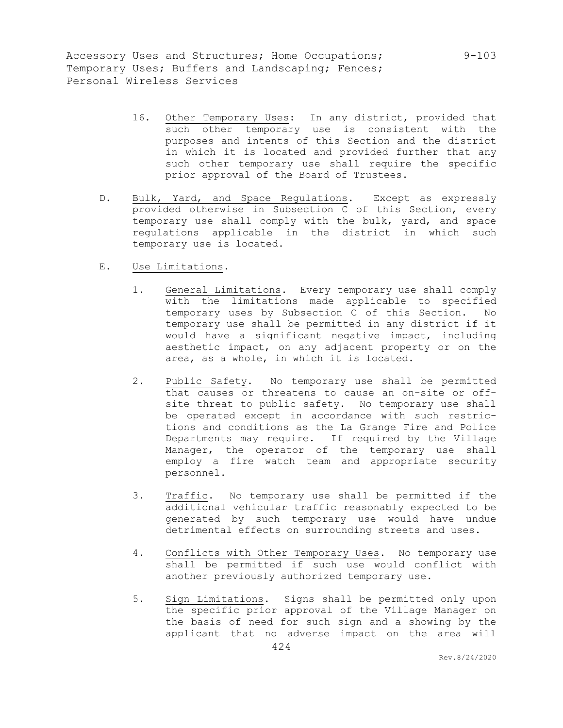- 16. Other Temporary Uses: In any district, provided that such other temporary use is consistent with the purposes and intents of this Section and the district in which it is located and provided further that any such other temporary use shall require the specific prior approval of the Board of Trustees.
- D. Bulk, Yard, and Space Regulations. Except as expressly provided otherwise in Subsection C of this Section, every temporary use shall comply with the bulk, yard, and space regulations applicable in the district in which such temporary use is located.
- E. Use Limitations.
	- 1. General Limitations. Every temporary use shall comply with the limitations made applicable to specified temporary uses by Subsection C of this Section. No temporary use shall be permitted in any district if it would have a significant negative impact, including aesthetic impact, on any adjacent property or on the area, as a whole, in which it is located.
	- 2. Public Safety. No temporary use shall be permitted that causes or threatens to cause an on-site or offsite threat to public safety. No temporary use shall be operated except in accordance with such restrictions and conditions as the La Grange Fire and Police Departments may require. If required by the Village Manager, the operator of the temporary use shall employ a fire watch team and appropriate security personnel.
	- 3. Traffic. No temporary use shall be permitted if the additional vehicular traffic reasonably expected to be generated by such temporary use would have undue detrimental effects on surrounding streets and uses.
	- 4. Conflicts with Other Temporary Uses. No temporary use shall be permitted if such use would conflict with another previously authorized temporary use.
	- 5. Sign Limitations. Signs shall be permitted only upon the specific prior approval of the Village Manager on the basis of need for such sign and a showing by the applicant that no adverse impact on the area will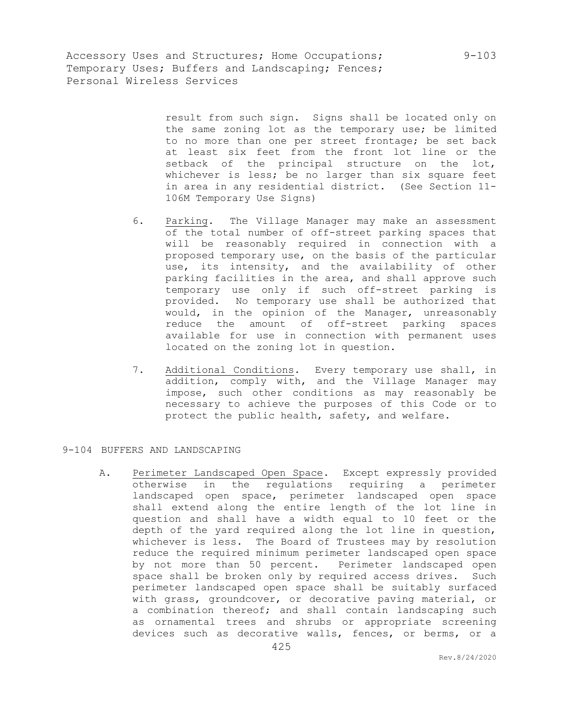> result from such sign. Signs shall be located only on the same zoning lot as the temporary use; be limited to no more than one per street frontage; be set back at least six feet from the front lot line or the setback of the principal structure on the lot, whichever is less; be no larger than six square feet in area in any residential district. (See Section 11- 106M Temporary Use Signs)

- 6. Parking. The Village Manager may make an assessment of the total number of off-street parking spaces that will be reasonably required in connection with a proposed temporary use, on the basis of the particular use, its intensity, and the availability of other parking facilities in the area, and shall approve such temporary use only if such off-street parking is provided. No temporary use shall be authorized that would, in the opinion of the Manager, unreasonably reduce the amount of off-street parking spaces available for use in connection with permanent uses located on the zoning lot in question.
- 7. Additional Conditions. Every temporary use shall, in addition, comply with, and the Village Manager may impose, such other conditions as may reasonably be necessary to achieve the purposes of this Code or to protect the public health, safety, and welfare.

## 9-104 BUFFERS AND LANDSCAPING

A. Perimeter Landscaped Open Space. Except expressly provided otherwise in the regulations requiring a perimeter landscaped open space, perimeter landscaped open space shall extend along the entire length of the lot line in question and shall have a width equal to 10 feet or the depth of the yard required along the lot line in question, whichever is less. The Board of Trustees may by resolution reduce the required minimum perimeter landscaped open space by not more than 50 percent. Perimeter landscaped open space shall be broken only by required access drives. Such perimeter landscaped open space shall be suitably surfaced with grass, groundcover, or decorative paving material, or a combination thereof; and shall contain landscaping such as ornamental trees and shrubs or appropriate screening devices such as decorative walls, fences, or berms, or a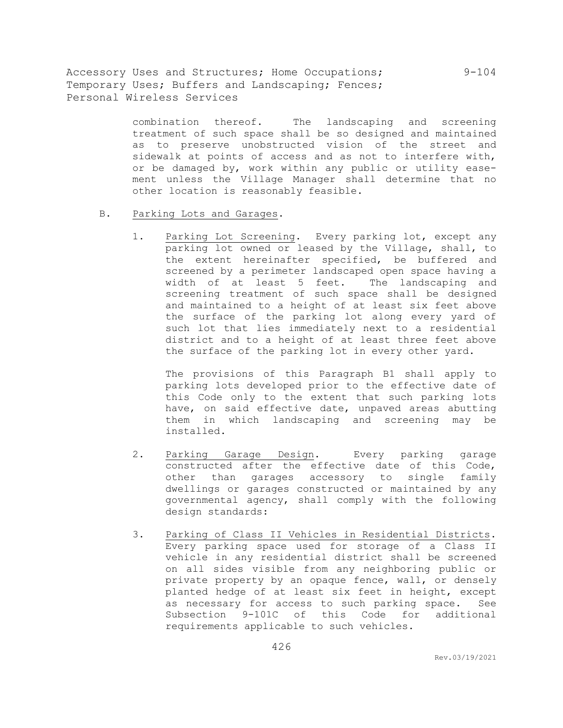> combination thereof. The landscaping and screening treatment of such space shall be so designed and maintained as to preserve unobstructed vision of the street and sidewalk at points of access and as not to interfere with, or be damaged by, work within any public or utility easement unless the Village Manager shall determine that no other location is reasonably feasible.

- B. Parking Lots and Garages.
	- 1. Parking Lot Screening. Every parking lot, except any parking lot owned or leased by the Village, shall, to the extent hereinafter specified, be buffered and screened by a perimeter landscaped open space having a width of at least 5 feet. The landscaping and screening treatment of such space shall be designed and maintained to a height of at least six feet above the surface of the parking lot along every yard of such lot that lies immediately next to a residential district and to a height of at least three feet above the surface of the parking lot in every other yard.

The provisions of this Paragraph B1 shall apply to parking lots developed prior to the effective date of this Code only to the extent that such parking lots have, on said effective date, unpaved areas abutting them in which landscaping and screening may be installed.

- 2. Parking Garage Design. Every parking garage constructed after the effective date of this Code, other than garages accessory to single family dwellings or garages constructed or maintained by any governmental agency, shall comply with the following design standards:
- 3. Parking of Class II Vehicles in Residential Districts. Every parking space used for storage of a Class II vehicle in any residential district shall be screened on all sides visible from any neighboring public or private property by an opaque fence, wall, or densely planted hedge of at least six feet in height, except as necessary for access to such parking space. See Subsection 9-101C of this Code for additional requirements applicable to such vehicles.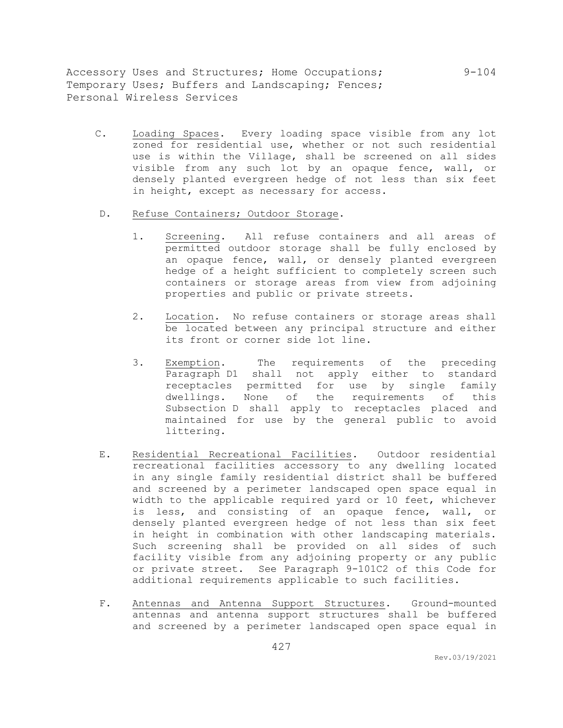- C. Loading Spaces. Every loading space visible from any lot zoned for residential use, whether or not such residential use is within the Village, shall be screened on all sides visible from any such lot by an opaque fence, wall, or densely planted evergreen hedge of not less than six feet in height, except as necessary for access.
- D. Refuse Containers; Outdoor Storage.
	- 1. Screening. All refuse containers and all areas of permitted outdoor storage shall be fully enclosed by an opaque fence, wall, or densely planted evergreen hedge of a height sufficient to completely screen such containers or storage areas from view from adjoining properties and public or private streets.
	- 2. Location. No refuse containers or storage areas shall be located between any principal structure and either its front or corner side lot line.
	- 3. Exemption. The requirements of the preceding Paragraph D1 shall not apply either to standard receptacles permitted for use by single family dwellings. None of the requirements of this Subsection D shall apply to receptacles placed and maintained for use by the general public to avoid littering.
- E. Residential Recreational Facilities. Outdoor residential recreational facilities accessory to any dwelling located in any single family residential district shall be buffered and screened by a perimeter landscaped open space equal in width to the applicable required yard or 10 feet, whichever is less, and consisting of an opaque fence, wall, or densely planted evergreen hedge of not less than six feet in height in combination with other landscaping materials. Such screening shall be provided on all sides of such facility visible from any adjoining property or any public or private street. See Paragraph 9-101C2 of this Code for additional requirements applicable to such facilities.
- F. Antennas and Antenna Support Structures. Ground-mounted antennas and antenna support structures shall be buffered and screened by a perimeter landscaped open space equal in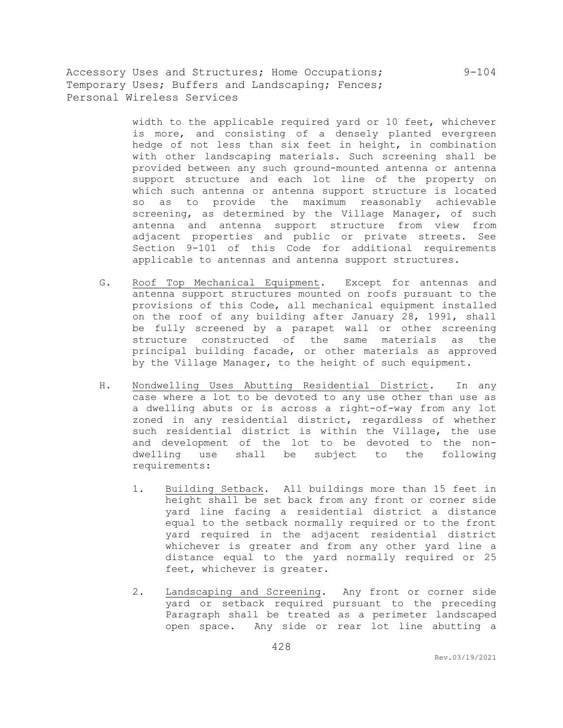> width to the applicable required yard or 10 feet, whichever is more, and consisting of a densely planted evergreen hedge of not less than six feet in height, in combination with other landscaping materials. Such screening shall be provided between any such ground-mounted antenna or antenna support structure and each lot line of the property on which such antenna or antenna support structure is located so as to provide the maximum reasonably achievable screening, as determined by the Village Manager, of such antenna and antenna support structure from view from adjacent properties and public or private streets. See Section 9-101 of this Code for additional requirements applicable to antennas and antenna support structures.

- G. Roof Top Mechanical Equipment. Except for antennas and antenna support structures mounted on roofs pursuant to the provisions of this Code, all mechanical equipment installed on the roof of any building after January 28, 1991, shall be fully screened by a parapet wall or other screening structure constructed of the same materials as the principal building facade, or other materials as approved by the Village Manager, to the height of such equipment.
- H. Nondwelling Uses Abutting Residential District. In any case where a lot to be devoted to any use other than use as a dwelling abuts or is across a right-of-way from any lot zoned in any residential district, regardless of whether such residential district is within the Village, the use and development of the lot to be devoted to the nondwelling use shall be subject to the following requirements:
	- 1. Building Setback. All buildings more than 15 feet in height shall be set back from any front or corner side yard line facing a residential district a distance equal to the setback normally required or to the front yard required in the adjacent residential district whichever is greater and from any other yard line a distance equal to the yard normally required or 25 feet, whichever is greater.
	- 2. Landscaping and Screening. Any front or corner side yard or setback required pursuant to the preceding Paragraph shall be treated as a perimeter landscaped open space. Any side or rear lot line abutting a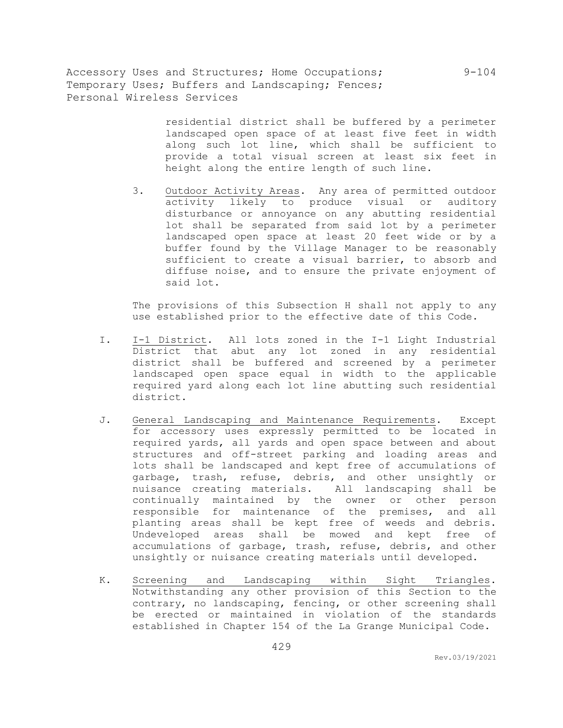> residential district shall be buffered by a perimeter landscaped open space of at least five feet in width along such lot line, which shall be sufficient to provide a total visual screen at least six feet in height along the entire length of such line.

3. Outdoor Activity Areas. Any area of permitted outdoor activity likely to produce visual or auditory disturbance or annoyance on any abutting residential lot shall be separated from said lot by a perimeter landscaped open space at least 20 feet wide or by a buffer found by the Village Manager to be reasonably sufficient to create a visual barrier, to absorb and diffuse noise, and to ensure the private enjoyment of said lot.

The provisions of this Subsection H shall not apply to any use established prior to the effective date of this Code.

- I. I-1 District. All lots zoned in the I-1 Light Industrial District that abut any lot zoned in any residential district shall be buffered and screened by a perimeter landscaped open space equal in width to the applicable required yard along each lot line abutting such residential district.
- J. General Landscaping and Maintenance Requirements. Except for accessory uses expressly permitted to be located in required yards, all yards and open space between and about structures and off-street parking and loading areas and lots shall be landscaped and kept free of accumulations of garbage, trash, refuse, debris, and other unsightly or nuisance creating materials. All landscaping shall be continually maintained by the owner or other person responsible for maintenance of the premises, and all planting areas shall be kept free of weeds and debris. Undeveloped areas shall be mowed and kept free of accumulations of garbage, trash, refuse, debris, and other unsightly or nuisance creating materials until developed.
- K. Screening and Landscaping within Sight Triangles. Notwithstanding any other provision of this Section to the contrary, no landscaping, fencing, or other screening shall be erected or maintained in violation of the standards established in Chapter 154 of the La Grange Municipal Code.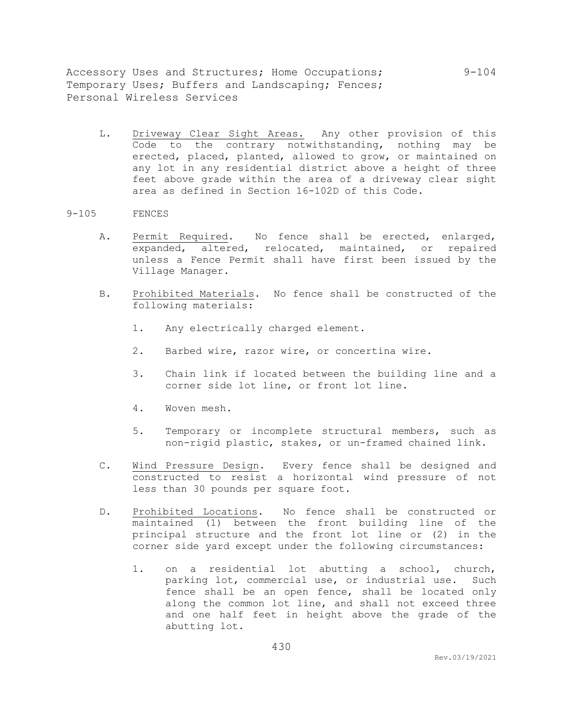L. Driveway Clear Sight Areas. Any other provision of this Code to the contrary notwithstanding, nothing may be erected, placed, planted, allowed to grow, or maintained on any lot in any residential district above a height of three feet above grade within the area of a driveway clear sight area as defined in Section 16-102D of this Code.

#### 9-105 FENCES

- A. Permit Required. No fence shall be erected, enlarged, expanded, altered, relocated, maintained, or repaired unless a Fence Permit shall have first been issued by the Village Manager.
- B. Prohibited Materials. No fence shall be constructed of the following materials:
	- 1. Any electrically charged element.
	- 2. Barbed wire, razor wire, or concertina wire.
	- 3. Chain link if located between the building line and a corner side lot line, or front lot line.
	- 4. Woven mesh.
	- 5. Temporary or incomplete structural members, such as non-rigid plastic, stakes, or un-framed chained link.
- C. Wind Pressure Design. Every fence shall be designed and constructed to resist a horizontal wind pressure of not less than 30 pounds per square foot.
- D. Prohibited Locations. No fence shall be constructed or maintained (1) between the front building line of the principal structure and the front lot line or (2) in the corner side yard except under the following circumstances:
	- 1. on a residential lot abutting a school, church, parking lot, commercial use, or industrial use. Such fence shall be an open fence, shall be located only along the common lot line, and shall not exceed three and one half feet in height above the grade of the abutting lot.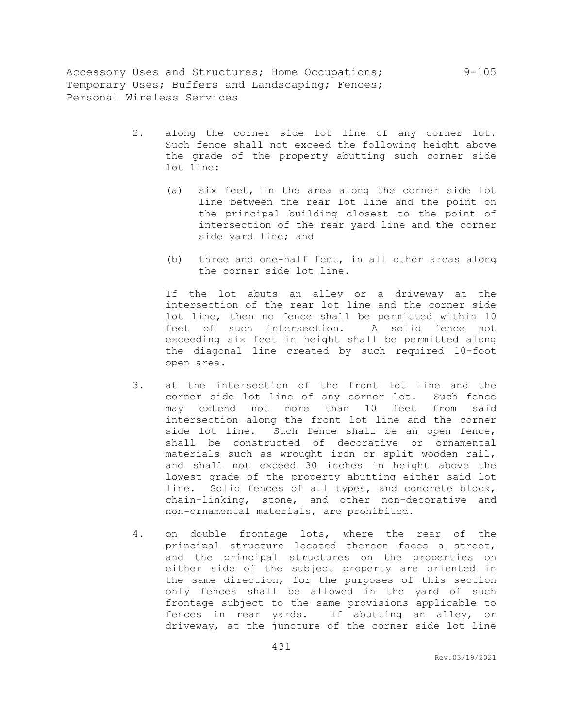- 2. along the corner side lot line of any corner lot. Such fence shall not exceed the following height above the grade of the property abutting such corner side lot line:
	- (a) six feet, in the area along the corner side lot line between the rear lot line and the point on the principal building closest to the point of intersection of the rear yard line and the corner side yard line; and
	- (b) three and one-half feet, in all other areas along the corner side lot line.

If the lot abuts an alley or a driveway at the intersection of the rear lot line and the corner side lot line, then no fence shall be permitted within 10 feet of such intersection. A solid fence not exceeding six feet in height shall be permitted along the diagonal line created by such required 10-foot open area.

- 3. at the intersection of the front lot line and the corner side lot line of any corner lot. Such fence may extend not more than 10 feet from said intersection along the front lot line and the corner side lot line. Such fence shall be an open fence, shall be constructed of decorative or ornamental materials such as wrought iron or split wooden rail, and shall not exceed 30 inches in height above the lowest grade of the property abutting either said lot line. Solid fences of all types, and concrete block, chain-linking, stone, and other non-decorative and non-ornamental materials, are prohibited.
- 4. on double frontage lots, where the rear of the principal structure located thereon faces a street, and the principal structures on the properties on either side of the subject property are oriented in the same direction, for the purposes of this section only fences shall be allowed in the yard of such frontage subject to the same provisions applicable to fences in rear yards. If abutting an alley, or driveway, at the juncture of the corner side lot line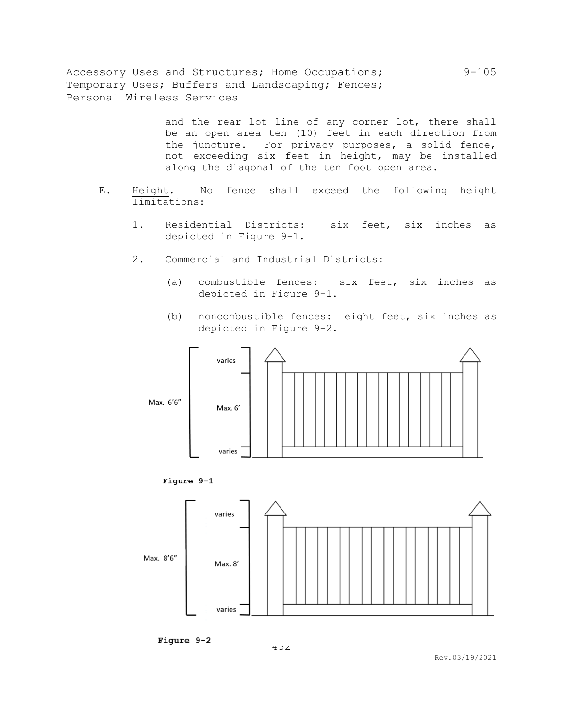> and the rear lot line of any corner lot, there shall be an open area ten (10) feet in each direction from the juncture. For privacy purposes, a solid fence, not exceeding six feet in height, may be installed along the diagonal of the ten foot open area.

- E. Height. No fence shall exceed the following height limitations:
	- 1. Residential Districts: six feet, six inches as depicted in Figure 9-1.
	- 2. Commercial and Industrial Districts:
		- (a) combustible fences: six feet, six inches as depicted in Figure 9-1.
		- (b) noncombustible fences: eight feet, six inches as depicted in Figure 9-2.







Figure 9-2

432

Rev.03/19/2021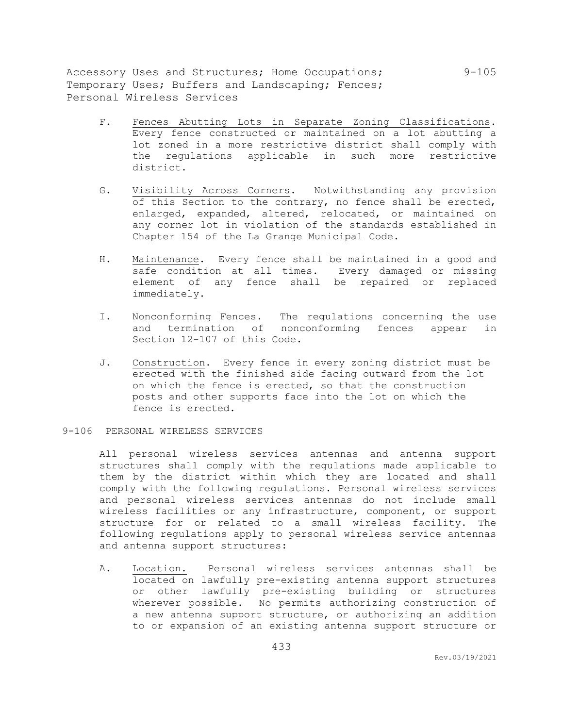- F. Fences Abutting Lots in Separate Zoning Classifications. Every fence constructed or maintained on a lot abutting a lot zoned in a more restrictive district shall comply with the regulations applicable in such more restrictive district.
- G. Visibility Across Corners. Notwithstanding any provision of this Section to the contrary, no fence shall be erected, enlarged, expanded, altered, relocated, or maintained on any corner lot in violation of the standards established in Chapter 154 of the La Grange Municipal Code.
- H. Maintenance. Every fence shall be maintained in a good and safe condition at all times. Every damaged or missing element of any fence shall be repaired or replaced immediately.
- I. Nonconforming Fences. The regulations concerning the use and termination of nonconforming fences appear in Section 12-107 of this Code.
- J. Construction. Every fence in every zoning district must be erected with the finished side facing outward from the lot on which the fence is erected, so that the construction posts and other supports face into the lot on which the fence is erected.
- 9-106 PERSONAL WIRELESS SERVICES

All personal wireless services antennas and antenna support structures shall comply with the regulations made applicable to them by the district within which they are located and shall comply with the following regulations. Personal wireless services and personal wireless services antennas do not include small wireless facilities or any infrastructure, component, or support structure for or related to a small wireless facility. The following regulations apply to personal wireless service antennas and antenna support structures:

A. Location. Personal wireless services antennas shall be located on lawfully pre-existing antenna support structures or other lawfully pre-existing building or structures wherever possible. No permits authorizing construction of a new antenna support structure, or authorizing an addition to or expansion of an existing antenna support structure or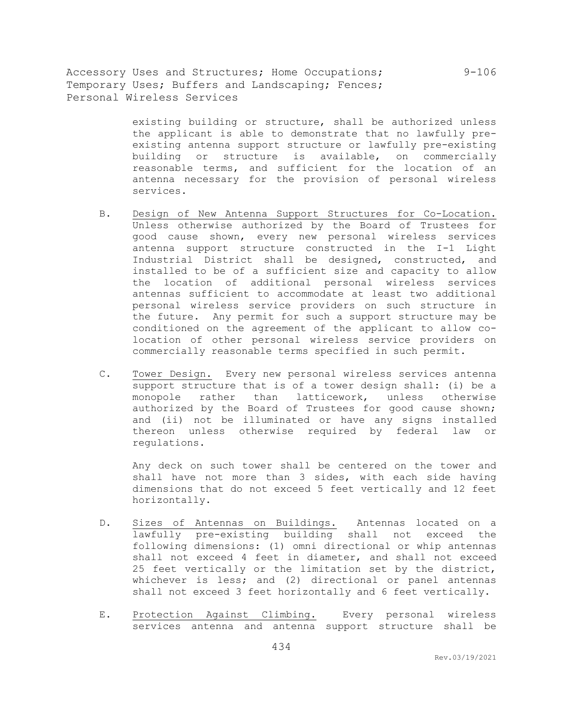> existing building or structure, shall be authorized unless the applicant is able to demonstrate that no lawfully preexisting antenna support structure or lawfully pre-existing building or structure is available, on commercially reasonable terms, and sufficient for the location of an antenna necessary for the provision of personal wireless services.

- B. Design of New Antenna Support Structures for Co-Location. Unless otherwise authorized by the Board of Trustees for good cause shown, every new personal wireless services antenna support structure constructed in the I-1 Light Industrial District shall be designed, constructed, and installed to be of a sufficient size and capacity to allow the location of additional personal wireless services antennas sufficient to accommodate at least two additional personal wireless service providers on such structure in the future. Any permit for such a support structure may be conditioned on the agreement of the applicant to allow colocation of other personal wireless service providers on commercially reasonable terms specified in such permit.
- C. Tower Design. Every new personal wireless services antenna support structure that is of a tower design shall: (i) be a monopole rather than latticework, unless otherwise authorized by the Board of Trustees for good cause shown; and (ii) not be illuminated or have any signs installed thereon unless otherwise required by federal law or regulations.

Any deck on such tower shall be centered on the tower and shall have not more than 3 sides, with each side having dimensions that do not exceed 5 feet vertically and 12 feet horizontally.

- D. Sizes of Antennas on Buildings. Antennas located on a lawfully pre-existing building shall not exceed the following dimensions: (1) omni directional or whip antennas shall not exceed 4 feet in diameter, and shall not exceed 25 feet vertically or the limitation set by the district, whichever is less; and (2) directional or panel antennas shall not exceed 3 feet horizontally and 6 feet vertically.
- E. Protection Against Climbing. Every personal wireless services antenna and antenna support structure shall be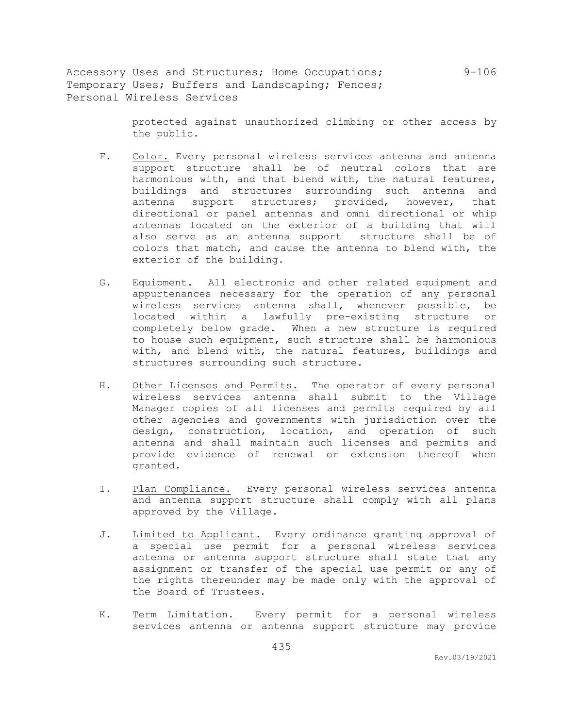> protected against unauthorized climbing or other access by the public.

- F. Color. Every personal wireless services antenna and antenna support structure shall be of neutral colors that are harmonious with, and that blend with, the natural features, buildings and structures surrounding such antenna and antenna support structures; provided, however, that directional or panel antennas and omni directional or whip antennas located on the exterior of a building that will also serve as an antenna support structure shall be of colors that match, and cause the antenna to blend with, the exterior of the building.
- G. Equipment. All electronic and other related equipment and appurtenances necessary for the operation of any personal wireless services antenna shall, whenever possible, be located within a lawfully pre-existing structure or completely below grade. When a new structure is required to house such equipment, such structure shall be harmonious with, and blend with, the natural features, buildings and structures surrounding such structure.
- H. Other Licenses and Permits. The operator of every personal wireless services antenna shall submit to the Village Manager copies of all licenses and permits required by all other agencies and governments with jurisdiction over the design, construction, location, and operation of such antenna and shall maintain such licenses and permits and provide evidence of renewal or extension thereof when granted.
- I. Plan Compliance. Every personal wireless services antenna and antenna support structure shall comply with all plans approved by the Village.
- J. Limited to Applicant. Every ordinance granting approval of a special use permit for a personal wireless services antenna or antenna support structure shall state that any assignment or transfer of the special use permit or any of the rights thereunder may be made only with the approval of the Board of Trustees.
- K. Term Limitation. Every permit for a personal wireless services antenna or antenna support structure may provide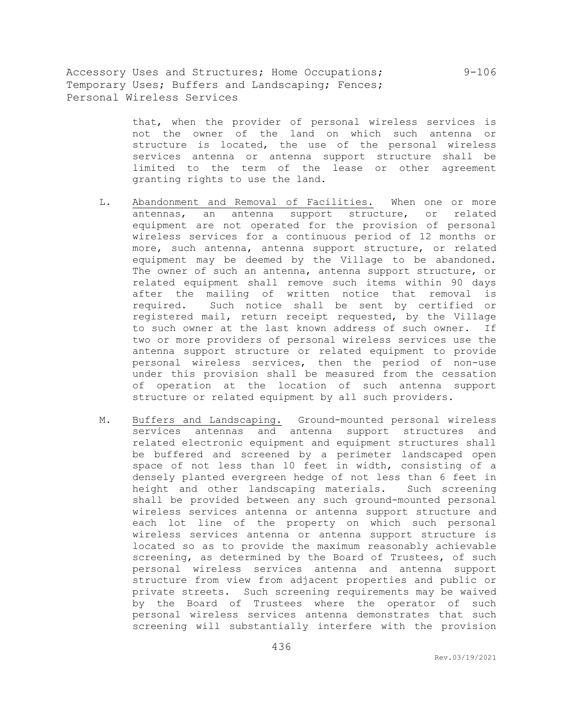> that, when the provider of personal wireless services is not the owner of the land on which such antenna or structure is located, the use of the personal wireless services antenna or antenna support structure shall be limited to the term of the lease or other agreement granting rights to use the land.

- L. Abandonment and Removal of Facilities. When one or more antennas, an antenna support structure, or related equipment are not operated for the provision of personal wireless services for a continuous period of 12 months or more, such antenna, antenna support structure, or related equipment may be deemed by the Village to be abandoned. The owner of such an antenna, antenna support structure, or related equipment shall remove such items within 90 days after the mailing of written notice that removal is required. Such notice shall be sent by certified or registered mail, return receipt requested, by the Village to such owner at the last known address of such owner. If two or more providers of personal wireless services use the antenna support structure or related equipment to provide personal wireless services, then the period of non-use under this provision shall be measured from the cessation of operation at the location of such antenna support structure or related equipment by all such providers.
- M. Buffers and Landscaping. Ground-mounted personal wireless services antennas and antenna support structures and related electronic equipment and equipment structures shall be buffered and screened by a perimeter landscaped open space of not less than 10 feet in width, consisting of a densely planted evergreen hedge of not less than 6 feet in height and other landscaping materials. Such screening shall be provided between any such ground-mounted personal wireless services antenna or antenna support structure and each lot line of the property on which such personal wireless services antenna or antenna support structure is located so as to provide the maximum reasonably achievable screening, as determined by the Board of Trustees, of such personal wireless services antenna and antenna support structure from view from adjacent properties and public or private streets. Such screening requirements may be waived by the Board of Trustees where the operator of such personal wireless services antenna demonstrates that such screening will substantially interfere with the provision